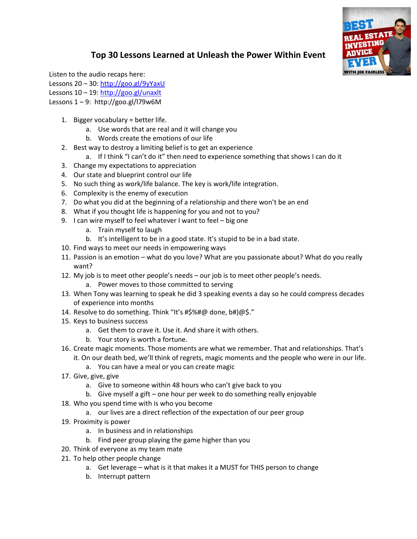

## **Top 30 Lessons Learned at Unleash the Power Within Event**

Listen to the audio recaps here: Lessons 20 – 30:<http://goo.gl/9yYaxU> Lessons 10 – 19:<http://goo.gl/unaxlt> Lessons  $1 - 9$ : http://goo.gl/l79w6M

- 1. Bigger vocabulary = better life.
	- a. Use words that are real and it will change you
	- b. Words create the emotions of our life
- 2. Best way to destroy a limiting belief is to get an experience
	- a. If I think "I can't do it" then need to experience something that shows I can do it
- 3. Change my expectations to appreciation
- 4. Our state and blueprint control our life
- 5. No such thing as work/life balance. The key is work/life integration.
- 6. Complexity is the enemy of execution
- 7. Do what you did at the beginning of a relationship and there won't be an end
- 8. What if you thought life is happening for you and not to you?
- 9. I can wire myself to feel whatever I want to feel big one
	- a. Train myself to laugh
	- b. It's intelligent to be in a good state. It's stupid to be in a bad state.
- 10. Find ways to meet our needs in empowering ways
- 11. Passion is an emotion what do you love? What are you passionate about? What do you really want?
- 12. My job is to meet other people's needs our job is to meet other people's needs.
	- a. Power moves to those committed to serving
- 13. When Tony was learning to speak he did 3 speaking events a day so he could compress decades of experience into months
- 14. Resolve to do something. Think "It's #\$%#@ done, b#)@\$."
- 15. Keys to business success
	- a. Get them to crave it. Use it. And share it with others.
	- b. Your story is worth a fortune.
- 16. Create magic moments. Those moments are what we remember. That and relationships. That's it. On our death bed, we'll think of regrets, magic moments and the people who were in our life.
	- a. You can have a meal or you can create magic
- 17. Give, give, give
	- a. Give to someone within 48 hours who can't give back to you
	- b. Give myself a gift one hour per week to do something really enjoyable
- 18. Who you spend time with is who you become
	- a. our lives are a direct reflection of the expectation of our peer group
- 19. Proximity is power
	- a. In business and in relationships
	- b. Find peer group playing the game higher than you
- 20. Think of everyone as my team mate
- 21. To help other people change
	- a. Get leverage what is it that makes it a MUST for THIS person to change
	- b. Interrupt pattern